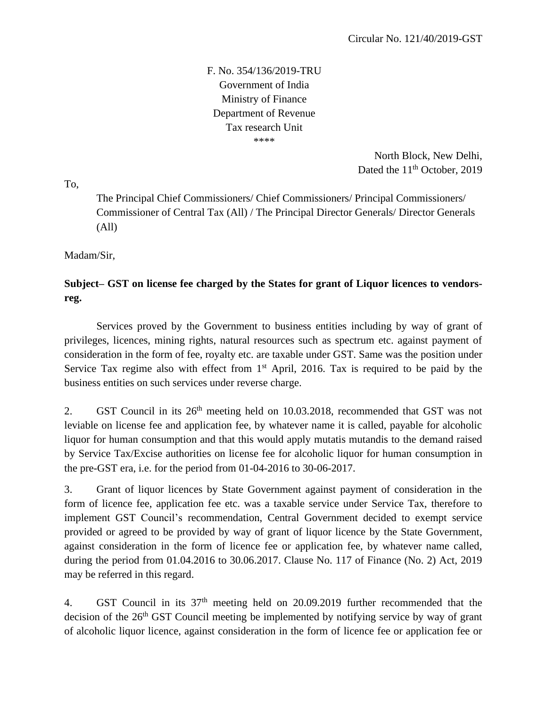F. No. 354/136/2019-TRU Government of India Ministry of Finance Department of Revenue Tax research Unit \*\*\*\*

> North Block, New Delhi, Dated the 11<sup>th</sup> October, 2019

To,

The Principal Chief Commissioners/ Chief Commissioners/ Principal Commissioners/ Commissioner of Central Tax (All) / The Principal Director Generals/ Director Generals (All)

Madam/Sir,

## **Subject– GST on license fee charged by the States for grant of Liquor licences to vendorsreg.**

Services proved by the Government to business entities including by way of grant of privileges, licences, mining rights, natural resources such as spectrum etc. against payment of consideration in the form of fee, royalty etc. are taxable under GST. Same was the position under Service Tax regime also with effect from  $1<sup>st</sup>$  April, 2016. Tax is required to be paid by the business entities on such services under reverse charge.

2. GST Council in its  $26<sup>th</sup>$  meeting held on 10.03.2018, recommended that GST was not leviable on license fee and application fee, by whatever name it is called, payable for alcoholic liquor for human consumption and that this would apply mutatis mutandis to the demand raised by Service Tax/Excise authorities on license fee for alcoholic liquor for human consumption in the pre-GST era, i.e. for the period from 01-04-2016 to 30-06-2017.

3. Grant of liquor licences by State Government against payment of consideration in the form of licence fee, application fee etc. was a taxable service under Service Tax, therefore to implement GST Council's recommendation, Central Government decided to exempt service provided or agreed to be provided by way of grant of liquor licence by the State Government, against consideration in the form of licence fee or application fee, by whatever name called, during the period from 01.04.2016 to 30.06.2017. Clause No. 117 of Finance (No. 2) Act, 2019 may be referred in this regard.

4. GST Council in its  $37<sup>th</sup>$  meeting held on 20.09.2019 further recommended that the decision of the 26th GST Council meeting be implemented by notifying service by way of grant of alcoholic liquor licence, against consideration in the form of licence fee or application fee or